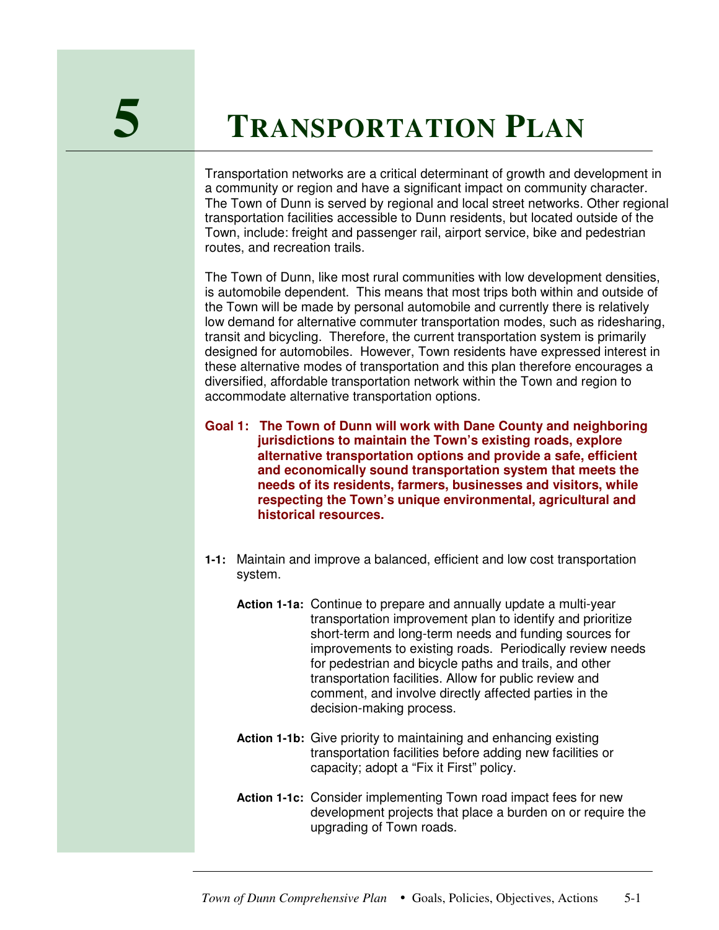## **5 <sup>T</sup>RANSPORTATION <sup>P</sup>LAN**

Transportation networks are a critical determinant of growth and development in a community or region and have a significant impact on community character. The Town of Dunn is served by regional and local street networks. Other regional transportation facilities accessible to Dunn residents, but located outside of the Town, include: freight and passenger rail, airport service, bike and pedestrian routes, and recreation trails.

The Town of Dunn, like most rural communities with low development densities, is automobile dependent. This means that most trips both within and outside of the Town will be made by personal automobile and currently there is relatively low demand for alternative commuter transportation modes, such as ridesharing, transit and bicycling. Therefore, the current transportation system is primarily designed for automobiles. However, Town residents have expressed interest in these alternative modes of transportation and this plan therefore encourages a diversified, affordable transportation network within the Town and region to accommodate alternative transportation options.

**Goal 1: The Town of Dunn will work with Dane County and neighboring jurisdictions to maintain the Town's existing roads, explore alternative transportation options and provide a safe, efficient and economically sound transportation system that meets the needs of its residents, farmers, businesses and visitors, while respecting the Town's unique environmental, agricultural and historical resources.**

- **1-1:** Maintain and improve a balanced, efficient and low cost transportation system.
	- **Action 1-1a:** Continue to prepare and annually update a multi-year transportation improvement plan to identify and prioritize short-term and long-term needs and funding sources for improvements to existing roads. Periodically review needs for pedestrian and bicycle paths and trails, and other transportation facilities. Allow for public review and comment, and involve directly affected parties in the decision-making process.
	- **Action 1-1b:** Give priority to maintaining and enhancing existing transportation facilities before adding new facilities or capacity; adopt a "Fix it First" policy.
	- **Action 1-1c:** Consider implementing Town road impact fees for new development projects that place a burden on or require the upgrading of Town roads.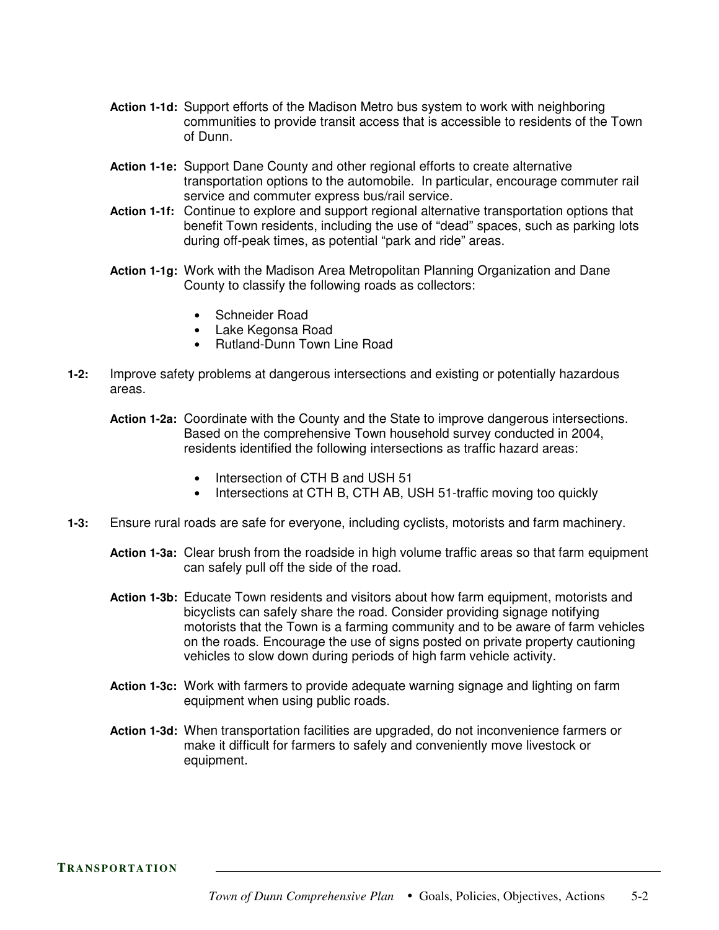- **Action 1-1d:** Support efforts of the Madison Metro bus system to work with neighboring communities to provide transit access that is accessible to residents of the Town of Dunn.
- **Action 1-1e:** Support Dane County and other regional efforts to create alternative transportation options to the automobile. In particular, encourage commuter rail service and commuter express bus/rail service.
- **Action 1-1f:** Continue to explore and support regional alternative transportation options that benefit Town residents, including the use of "dead" spaces, such as parking lots during off-peak times, as potential "park and ride" areas.
- **Action 1-1g:** Work with the Madison Area Metropolitan Planning Organization and Dane County to classify the following roads as collectors:
	- Schneider Road
	- Lake Kegonsa Road
	- Rutland-Dunn Town Line Road
- **1-2:** Improve safety problems at dangerous intersections and existing or potentially hazardous areas.
	- **Action 1-2a:** Coordinate with the County and the State to improve dangerous intersections. Based on the comprehensive Town household survey conducted in 2004, residents identified the following intersections as traffic hazard areas:
		- Intersection of CTH B and USH 51
		- Intersections at CTH B, CTH AB, USH 51-traffic moving too quickly
- **1-3:** Ensure rural roads are safe for everyone, including cyclists, motorists and farm machinery.
	- **Action 1-3a:** Clear brush from the roadside in high volume traffic areas so that farm equipment can safely pull off the side of the road.
	- **Action 1-3b:** Educate Town residents and visitors about how farm equipment, motorists and bicyclists can safely share the road. Consider providing signage notifying motorists that the Town is a farming community and to be aware of farm vehicles on the roads. Encourage the use of signs posted on private property cautioning vehicles to slow down during periods of high farm vehicle activity.
	- **Action 1-3c:** Work with farmers to provide adequate warning signage and lighting on farm equipment when using public roads.
	- **Action 1-3d:** When transportation facilities are upgraded, do not inconvenience farmers or make it difficult for farmers to safely and conveniently move livestock or equipment.